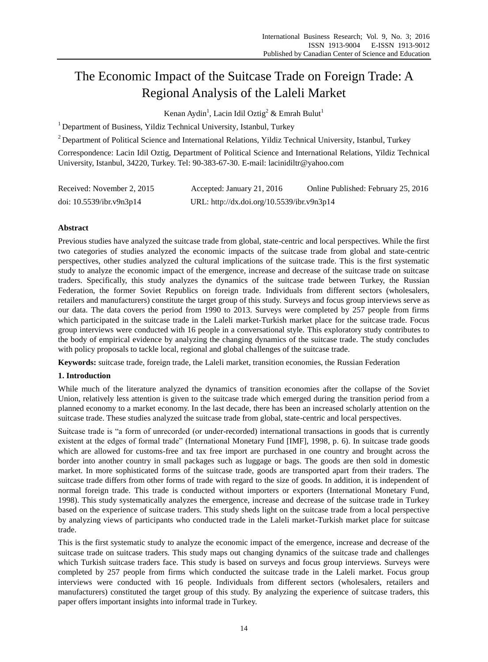# The Economic Impact of the Suitcase Trade on Foreign Trade: A Regional Analysis of the Laleli Market

Kenan Aydin<sup>1</sup>, Lacin Idil Oztig<sup>2</sup> & Emrah Bulut<sup>1</sup>

 $1$  Department of Business, Yildiz Technical University, Istanbul, Turkey

<sup>2</sup> Department of Political Science and International Relations, Yildiz Technical University, Istanbul, Turkey

Correspondence: Lacin Idil Oztig, Department of Political Science and International Relations, Yildiz Technical University, Istanbul, 34220, Turkey. Tel: 90-383-67-30. E-mail: lacinidiltr@yahoo.com

| Received: November 2, 2015 | Accepted: January 21, 2016                 | Online Published: February 25, 2016 |
|----------------------------|--------------------------------------------|-------------------------------------|
| doi: 10.5539/ibr.v9n3p14   | URL: http://dx.doi.org/10.5539/ibr.v9n3p14 |                                     |

# **Abstract**

Previous studies have analyzed the suitcase trade from global, state-centric and local perspectives. While the first two categories of studies analyzed the economic impacts of the suitcase trade from global and state-centric perspectives, other studies analyzed the cultural implications of the suitcase trade. This is the first systematic study to analyze the economic impact of the emergence, increase and decrease of the suitcase trade on suitcase traders. Specifically, this study analyzes the dynamics of the suitcase trade between Turkey, the Russian Federation, the former Soviet Republics on foreign trade. Individuals from different sectors (wholesalers, retailers and manufacturers) constitute the target group of this study. Surveys and focus group interviews serve as our data. The data covers the period from 1990 to 2013. Surveys were completed by 257 people from firms which participated in the suitcase trade in the Laleli market-Turkish market place for the suitcase trade. Focus group interviews were conducted with 16 people in a conversational style. This exploratory study contributes to the body of empirical evidence by analyzing the changing dynamics of the suitcase trade. The study concludes with policy proposals to tackle local, regional and global challenges of the suitcase trade.

**Keywords:** suitcase trade, foreign trade, the Laleli market, transition economies, the Russian Federation

# **1. Introduction**

While much of the literature analyzed the dynamics of transition economies after the collapse of the Soviet Union, relatively less attention is given to the suitcase trade which emerged during the transition period from a planned economy to a market economy. In the last decade, there has been an increased scholarly attention on the suitcase trade. These studies analyzed the suitcase trade from global, state-centric and local perspectives.

Suitcase trade is "a form of unrecorded (or under-recorded) international transactions in goods that is currently existent at the edges of formal trade" (International Monetary Fund [IMF], 1998, p. 6). In suitcase trade goods which are allowed for customs-free and tax free import are purchased in one country and brought across the border into another country in small packages such as luggage or bags. The goods are then sold in domestic market. In more sophisticated forms of the suitcase trade, goods are transported apart from their traders. The suitcase trade differs from other forms of trade with regard to the size of goods. In addition, it is independent of normal foreign trade. This trade is conducted without importers or exporters (International Monetary Fund, 1998). This study systematically analyzes the emergence, increase and decrease of the suitcase trade in Turkey based on the experience of suitcase traders. This study sheds light on the suitcase trade from a local perspective by analyzing views of participants who conducted trade in the Laleli market-Turkish market place for suitcase trade.

This is the first systematic study to analyze the economic impact of the emergence, increase and decrease of the suitcase trade on suitcase traders. This study maps out changing dynamics of the suitcase trade and challenges which Turkish suitcase traders face. This study is based on surveys and focus group interviews. Surveys were completed by 257 people from firms which conducted the suitcase trade in the Laleli market. Focus group interviews were conducted with 16 people. Individuals from different sectors (wholesalers, retailers and manufacturers) constituted the target group of this study. By analyzing the experience of suitcase traders, this paper offers important insights into informal trade in Turkey.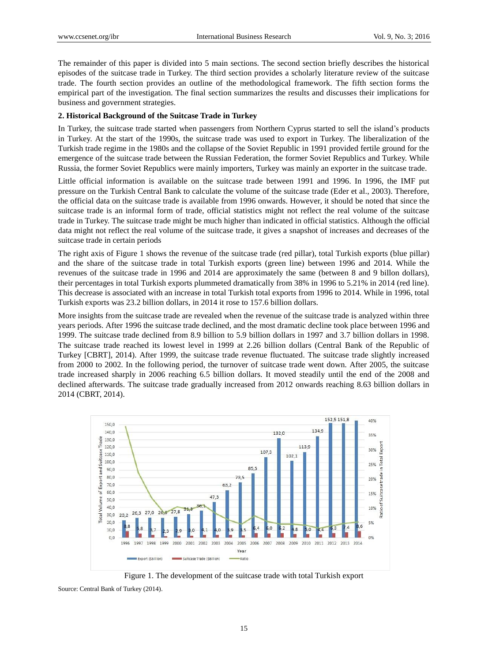The remainder of this paper is divided into 5 main sections. The second section briefly describes the historical episodes of the suitcase trade in Turkey. The third section provides a scholarly literature review of the suitcase trade. The fourth section provides an outline of the methodological framework. The fifth section forms the empirical part of the investigation. The final section summarizes the results and discusses their implications for business and government strategies.

#### **2. Historical Background of the Suitcase Trade in Turkey**

In Turkey, the suitcase trade started when passengers from Northern Cyprus started to sell the island's products in Turkey. At the start of the 1990s, the suitcase trade was used to export in Turkey. The liberalization of the Turkish trade regime in the 1980s and the collapse of the Soviet Republic in 1991 provided fertile ground for the emergence of the suitcase trade between the Russian Federation, the former Soviet Republics and Turkey. While Russia, the former Soviet Republics were mainly importers, Turkey was mainly an exporter in the suitcase trade.

Little official information is available on the suitcase trade between 1991 and 1996. In 1996, the IMF put pressure on the Turkish Central Bank to calculate the volume of the suitcase trade (Eder et al., 2003). Therefore, the official data on the suitcase trade is available from 1996 onwards. However, it should be noted that since the suitcase trade is an informal form of trade, official statistics might not reflect the real volume of the suitcase trade in Turkey. The suitcase trade might be much higher than indicated in official statistics. Although the official data might not reflect the real volume of the suitcase trade, it gives a snapshot of increases and decreases of the suitcase trade in certain periods

The right axis of Figure 1 shows the revenue of the suitcase trade (red pillar), total Turkish exports (blue pillar) and the share of the suitcase trade in total Turkish exports (green line) between 1996 and 2014. While the revenues of the suitcase trade in 1996 and 2014 are approximately the same (between 8 and 9 billon dollars), their percentages in total Turkish exports plummeted dramatically from 38% in 1996 to 5.21% in 2014 (red line). This decrease is associated with an increase in total Turkish total exports from 1996 to 2014. While in 1996, total Turkish exports was 23.2 billion dollars, in 2014 it rose to 157.6 billion dollars.

More insights from the suitcase trade are revealed when the revenue of the suitcase trade is analyzed within three years periods. After 1996 the suitcase trade declined, and the most dramatic decline took place between 1996 and 1999. The suitcase trade declined from 8.9 billion to 5.9 billion dollars in 1997 and 3.7 billion dollars in 1998. The suitcase trade reached its lowest level in 1999 at 2.26 billion dollars (Central Bank of the Republic of Turkey [CBRT], 2014). After 1999, the suitcase trade revenue fluctuated. The suitcase trade slightly increased from 2000 to 2002. In the following period, the turnover of suitcase trade went down. After 2005, the suitcase trade increased sharply in 2006 reaching 6.5 billion dollars. It moved steadily until the end of the 2008 and declined afterwards. The suitcase trade gradually increased from 2012 onwards reaching 8.63 billion dollars in 2014 (CBRT, 2014).



Figure 1. The development of the suitcase trade with total Turkish export

Source: Central Bank of Turkey (2014).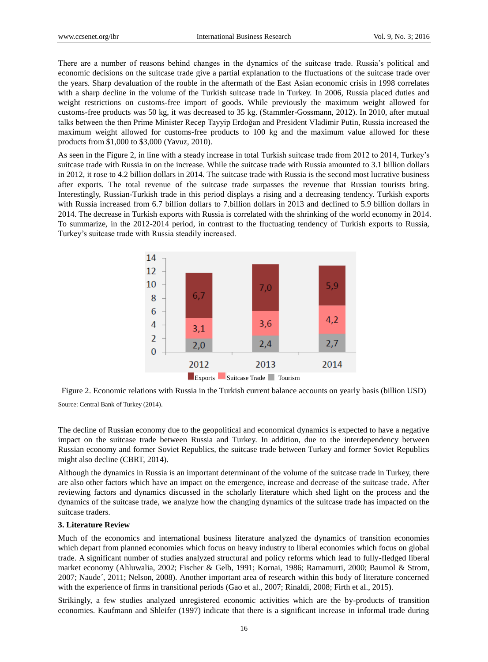There are a number of reasons behind changes in the dynamics of the suitcase trade. Russia's political and economic decisions on the suitcase trade give a partial explanation to the fluctuations of the suitcase trade over the years. Sharp devaluation of the rouble in the aftermath of the East Asian economic crisis in 1998 correlates with a sharp decline in the volume of the Turkish suitcase trade in Turkey. In 2006, Russia placed duties and weight restrictions on customs-free import of goods. While previously the maximum weight allowed for customs-free products was 50 kg, it was decreased to 35 kg. (Stammler-Gossmann, 2012). In 2010, after mutual talks between the then Prime Minister Recep Tayyip Erdoğan and President Vladimir Putin, Russia increased the maximum weight allowed for customs-free products to 100 kg and the maximum value allowed for these products from \$1,000 to \$3,000 (Yavuz, 2010).

As seen in the Figure 2, in line with a steady increase in total Turkish suitcase trade from 2012 to 2014, Turkey's suitcase trade with Russia in on the increase. While the suitcase trade with Russia amounted to 3.1 billion dollars in 2012, it rose to 4.2 billion dollars in 2014. The suitcase trade with Russia is the second most lucrative business after exports. The total revenue of the suitcase trade surpasses the revenue that Russian tourists bring. Interestingly, Russian-Turkish trade in this period displays a rising and a decreasing tendency. Turkish exports with Russia increased from 6.7 billion dollars to 7.billion dollars in 2013 and declined to 5.9 billion dollars in 2014. The decrease in Turkish exports with Russia is correlated with the shrinking of the world economy in 2014. To summarize, in the 2012-2014 period, in contrast to the fluctuating tendency of Turkish exports to Russia, Turkey's suitcase trade with Russia steadily increased.



Figure 2. Economic relations with Russia in the Turkish current balance accounts on yearly basis (billion USD) Source: Central Bank of Turkey (2014).

The decline of Russian economy due to the geopolitical and economical dynamics is expected to have a negative impact on the suitcase trade between Russia and Turkey. In addition, due to the interdependency between Russian economy and former Soviet Republics, the suitcase trade between Turkey and former Soviet Republics might also decline (CBRT, 2014).

Although the dynamics in Russia is an important determinant of the volume of the suitcase trade in Turkey, there are also other factors which have an impact on the emergence, increase and decrease of the suitcase trade. After reviewing factors and dynamics discussed in the scholarly literature which shed light on the process and the dynamics of the suitcase trade, we analyze how the changing dynamics of the suitcase trade has impacted on the suitcase traders.

## **3. Literature Review**

Much of the economics and international business literature analyzed the dynamics of transition economies which depart from planned economies which focus on heavy industry to liberal economies which focus on global trade. A significant number of studies analyzed structural and policy reforms which lead to fully-fledged liberal market economy (Ahluwalia, 2002; Fischer & Gelb, 1991; Kornai, 1986; Ramamurti, 2000; Baumol & Strom, 2007; Naude´, 2011; Nelson, 2008). Another important area of research within this body of literature concerned with the experience of firms in transitional periods (Gao et al., 2007; Rinaldi, 2008; Firth et al., 2015).

Strikingly, a few studies analyzed unregistered economic activities which are the by-products of transition economies. Kaufmann and Shleifer (1997) indicate that there is a significant increase in informal trade during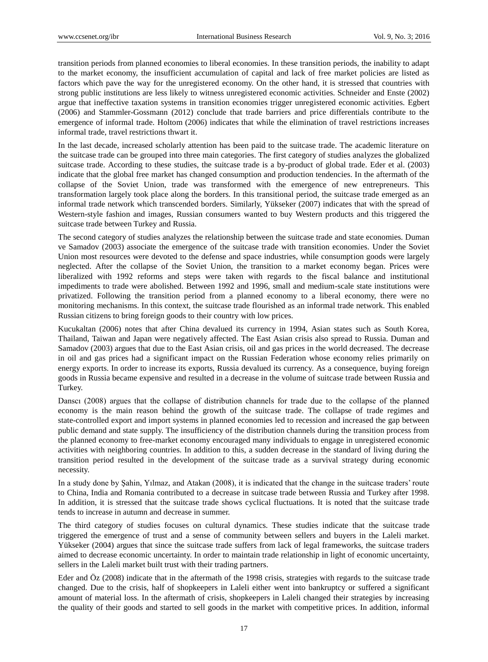transition periods from planned economies to liberal economies. In these transition periods, the inability to adapt to the market economy, the insufficient accumulation of capital and lack of free market policies are listed as factors which pave the way for the unregistered economy. On the other hand, it is stressed that countries with strong public institutions are less likely to witness unregistered economic activities. Schneider and Enste (2002) argue that ineffective taxation systems in transition economies trigger unregistered economic activities. Egbert (2006) and Stammler-Gossmann (2012) conclude that trade barriers and price differentials contribute to the emergence of informal trade. Holtom (2006) indicates that while the elimination of travel restrictions increases informal trade, travel restrictions thwart it.

In the last decade, increased scholarly attention has been paid to the suitcase trade. The academic literature on the suitcase trade can be grouped into three main categories. The first category of studies analyzes the globalized suitcase trade. According to these studies, the suitcase trade is a by-product of global trade. Eder et al. (2003) indicate that the global free market has changed consumption and production tendencies. In the aftermath of the collapse of the Soviet Union, trade was transformed with the emergence of new entrepreneurs. This transformation largely took place along the borders. In this transitional period, the suitcase trade emerged as an informal trade network which transcended borders. Similarly, Yükseker (2007) indicates that with the spread of Western-style fashion and images, Russian consumers wanted to buy Western products and this triggered the suitcase trade between Turkey and Russia.

The second category of studies analyzes the relationship between the suitcase trade and state economies. Duman ve Samadov (2003) associate the emergence of the suitcase trade with transition economies. Under the Soviet Union most resources were devoted to the defense and space industries, while consumption goods were largely neglected. After the collapse of the Soviet Union, the transition to a market economy began. Prices were liberalized with 1992 reforms and steps were taken with regards to the fiscal balance and institutional impediments to trade were abolished. Between 1992 and 1996, small and medium-scale state institutions were privatized. Following the transition period from a planned economy to a liberal economy, there were no monitoring mechanisms. In this context, the suitcase trade flourished as an informal trade network. This enabled Russian citizens to bring foreign goods to their country with low prices.

Kucukaltan (2006) notes that after China devalued its currency in 1994, Asian states such as South Korea, Thailand, Taiwan and Japan were negatively affected. The East Asian crisis also spread to Russia. Duman and Samadov (2003) argues that due to the East Asian crisis, oil and gas prices in the world decreased. The decrease in oil and gas prices had a significant impact on the Russian Federation whose economy relies primarily on energy exports. In order to increase its exports, Russia devalued its currency. As a consequence, buying foreign goods in Russia became expensive and resulted in a decrease in the volume of suitcase trade between Russia and Turkey.

Danscı (2008) argues that the collapse of distribution channels for trade due to the collapse of the planned economy is the main reason behind the growth of the suitcase trade. The collapse of trade regimes and state-controlled export and import systems in planned economies led to recession and increased the gap between public demand and state supply. The insufficiency of the distribution channels during the transition process from the planned economy to free-market economy encouraged many individuals to engage in unregistered economic activities with neighboring countries. In addition to this, a sudden decrease in the standard of living during the transition period resulted in the development of the suitcase trade as a survival strategy during economic necessity.

In a study done by Şahin, Yılmaz, and Atakan (2008), it is indicated that the change in the suitcase traders' route to China, India and Romania contributed to a decrease in suitcase trade between Russia and Turkey after 1998. In addition, it is stressed that the suitcase trade shows cyclical fluctuations. It is noted that the suitcase trade tends to increase in autumn and decrease in summer.

The third category of studies focuses on cultural dynamics. These studies indicate that the suitcase trade triggered the emergence of trust and a sense of community between sellers and buyers in the Laleli market. Yükseker (2004) argues that since the suitcase trade suffers from lack of legal frameworks, the suitcase traders aimed to decrease economic uncertainty. In order to maintain trade relationship in light of economic uncertainty, sellers in the Laleli market built trust with their trading partners.

Eder and Ö z (2008) indicate that in the aftermath of the 1998 crisis, strategies with regards to the suitcase trade changed. Due to the crisis, half of shopkeepers in Laleli either went into bankruptcy or suffered a significant amount of material loss. In the aftermath of crisis, shopkeepers in Laleli changed their strategies by increasing the quality of their goods and started to sell goods in the market with competitive prices. In addition, informal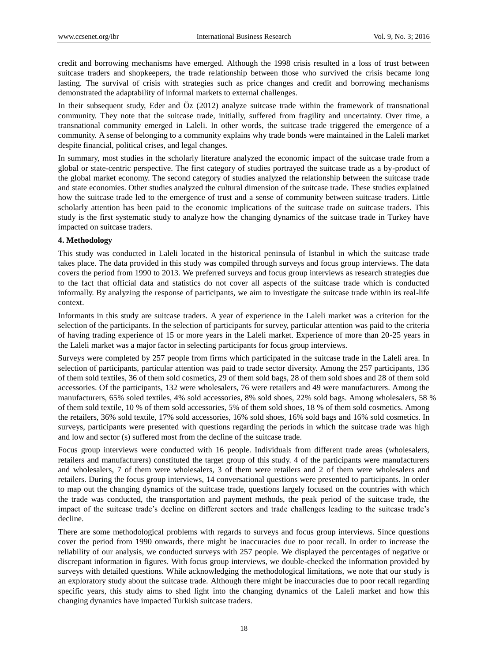credit and borrowing mechanisms have emerged. Although the 1998 crisis resulted in a loss of trust between suitcase traders and shopkeepers, the trade relationship between those who survived the crisis became long lasting. The survival of crisis with strategies such as price changes and credit and borrowing mechanisms demonstrated the adaptability of informal markets to external challenges.

In their subsequent study, Eder and  $\ddot{0}$  z (2012) analyze suitcase trade within the framework of transnational community. They note that the suitcase trade, initially, suffered from fragility and uncertainty. Over time, a transnational community emerged in Laleli. In other words, the suitcase trade triggered the emergence of a community. A sense of belonging to a community explains why trade bonds were maintained in the Laleli market despite financial, political crises, and legal changes.

In summary, most studies in the scholarly literature analyzed the economic impact of the suitcase trade from a global or state-centric perspective. The first category of studies portrayed the suitcase trade as a by-product of the global market economy. The second category of studies analyzed the relationship between the suitcase trade and state economies. Other studies analyzed the cultural dimension of the suitcase trade. These studies explained how the suitcase trade led to the emergence of trust and a sense of community between suitcase traders. Little scholarly attention has been paid to the economic implications of the suitcase trade on suitcase traders. This study is the first systematic study to analyze how the changing dynamics of the suitcase trade in Turkey have impacted on suitcase traders.

#### **4. Methodology**

This study was conducted in Laleli located in the historical peninsula of Istanbul in which the suitcase trade takes place. The data provided in this study was compiled through surveys and focus group interviews. The data covers the period from 1990 to 2013. We preferred surveys and focus group interviews as research strategies due to the fact that official data and statistics do not cover all aspects of the suitcase trade which is conducted informally. By analyzing the response of participants, we aim to investigate the suitcase trade within its real-life context.

Informants in this study are suitcase traders. A year of experience in the Laleli market was a criterion for the selection of the participants. In the selection of participants for survey, particular attention was paid to the criteria of having trading experience of 15 or more years in the Laleli market. Experience of more than 20-25 years in the Laleli market was a major factor in selecting participants for focus group interviews.

Surveys were completed by 257 people from firms which participated in the suitcase trade in the Laleli area. In selection of participants, particular attention was paid to trade sector diversity. Among the 257 participants, 136 of them sold textiles, 36 of them sold cosmetics, 29 of them sold bags, 28 of them sold shoes and 28 of them sold accessories. Of the participants, 132 were wholesalers, 76 were retailers and 49 were manufacturers. Among the manufacturers, 65% soled textiles, 4% sold accessories, 8% sold shoes, 22% sold bags. Among wholesalers, 58 % of them sold textile, 10 % of them sold accessories, 5% of them sold shoes, 18 % of them sold cosmetics. Among the retailers, 36% sold textile, 17% sold accessories, 16% sold shoes, 16% sold bags and 16% sold cosmetics. In surveys, participants were presented with questions regarding the periods in which the suitcase trade was high and low and sector (s) suffered most from the decline of the suitcase trade.

Focus group interviews were conducted with 16 people. Individuals from different trade areas (wholesalers, retailers and manufacturers) constituted the target group of this study. 4 of the participants were manufacturers and wholesalers, 7 of them were wholesalers, 3 of them were retailers and 2 of them were wholesalers and retailers. During the focus group interviews, 14 conversational questions were presented to participants. In order to map out the changing dynamics of the suitcase trade, questions largely focused on the countries with which the trade was conducted, the transportation and payment methods, the peak period of the suitcase trade, the impact of the suitcase trade's decline on different sectors and trade challenges leading to the suitcase trade's decline.

There are some methodological problems with regards to surveys and focus group interviews. Since questions cover the period from 1990 onwards, there might be inaccuracies due to poor recall. In order to increase the reliability of our analysis, we conducted surveys with 257 people. We displayed the percentages of negative or discrepant information in figures. With focus group interviews, we double-checked the information provided by surveys with detailed questions. While acknowledging the methodological limitations, we note that our study is an exploratory study about the suitcase trade. Although there might be inaccuracies due to poor recall regarding specific years, this study aims to shed light into the changing dynamics of the Laleli market and how this changing dynamics have impacted Turkish suitcase traders.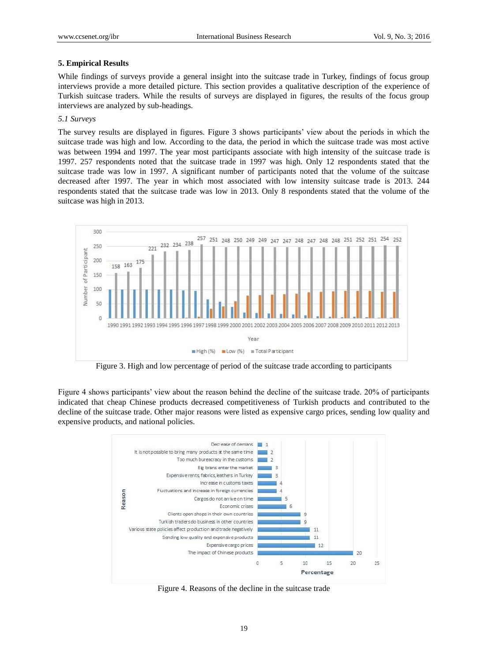## **5. Empirical Results**

While findings of surveys provide a general insight into the suitcase trade in Turkey, findings of focus group interviews provide a more detailed picture. This section provides a qualitative description of the experience of Turkish suitcase traders. While the results of surveys are displayed in figures, the results of the focus group interviews are analyzed by sub-headings.

### *5.1 Surveys*

The survey results are displayed in figures. Figure 3 shows participants' view about the periods in which the suitcase trade was high and low. According to the data, the period in which the suitcase trade was most active was between 1994 and 1997. The year most participants associate with high intensity of the suitcase trade is 1997. 257 respondents noted that the suitcase trade in 1997 was high. Only 12 respondents stated that the suitcase trade was low in 1997. A significant number of participants noted that the volume of the suitcase decreased after 1997. The year in which most associated with low intensity suitcase trade is 2013. 244 respondents stated that the suitcase trade was low in 2013. Only 8 respondents stated that the volume of the suitcase was high in 2013.



Figure 3. High and low percentage of period of the suitcase trade according to participants

Figure 4 shows participants' view about the reason behind the decline of the suitcase trade. 20% of participants indicated that cheap Chinese products decreased competitiveness of Turkish products and contributed to the decline of the suitcase trade. Other major reasons were listed as expensive cargo prices, sending low quality and expensive products, and national policies.



Figure 4. Reasons of the decline in the suitcase trade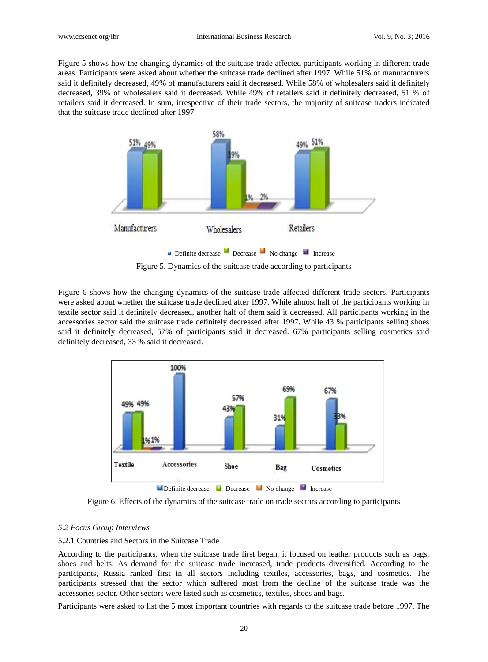Figure 5 shows how the changing dynamics of the suitcase trade affected participants working in different trade areas. Participants were asked about whether the suitcase trade declined after 1997. While 51% of manufacturers said it definitely decreased, 49% of manufacturers said it decreased. While 58% of wholesalers said it definitely decreased, 39% of wholesalers said it decreased. While 49% of retailers said it definitely decreased, 51 % of retailers said it decreased. In sum, irrespective of their trade sectors, the majority of suitcase traders indicated that the suitcase trade declined after 1997.



Figure 5. Dynamics of the suitcase trade according to participants

Figure 6 shows how the changing dynamics of the suitcase trade affected different trade sectors. Participants were asked about whether the suitcase trade declined after 1997. While almost half of the participants working in textile sector said it definitely decreased, another half of them said it decreased. All participants working in the accessories sector said the suitcase trade definitely decreased after 1997. While 43 % participants selling shoes said it definitely decreased, 57% of participants said it decreased. 67% participants selling cosmetics said definitely decreased, 33 % said it decreased.



Figure 6. Effects of the dynamics of the suitcase trade on trade sectors according to participants

#### *5.2 Focus Group Interviews*

## 5.2.1 Countries and Sectors in the Suitcase Trade

According to the participants, when the suitcase trade first began, it focused on leather products such as bags, shoes and belts. As demand for the suitcase trade increased, trade products diversified. According to the participants, Russia ranked first in all sectors including textiles, accessories, bags, and cosmetics. The participants stressed that the sector which suffered most from the decline of the suitcase trade was the accessories sector. Other sectors were listed such as cosmetics, textiles, shoes and bags.

Participants were asked to list the 5 most important countries with regards to the suitcase trade before 1997. The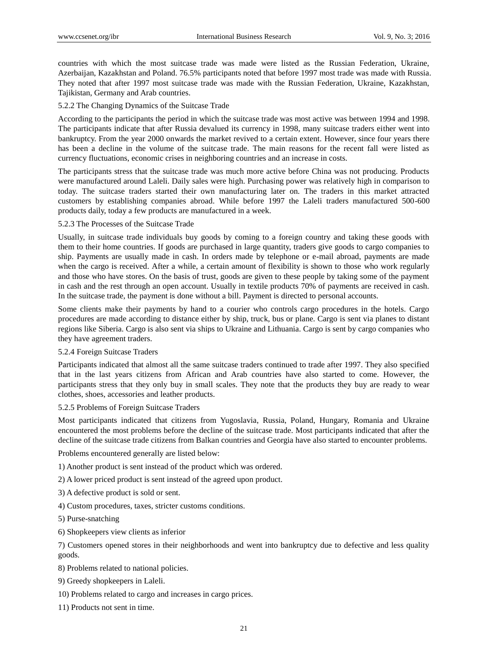countries with which the most suitcase trade was made were listed as the Russian Federation, Ukraine, Azerbaijan, Kazakhstan and Poland. 76.5% participants noted that before 1997 most trade was made with Russia. They noted that after 1997 most suitcase trade was made with the Russian Federation, Ukraine, Kazakhstan, Tajikistan, Germany and Arab countries.

## 5.2.2 The Changing Dynamics of the Suitcase Trade

According to the participants the period in which the suitcase trade was most active was between 1994 and 1998. The participants indicate that after Russia devalued its currency in 1998, many suitcase traders either went into bankruptcy. From the year 2000 onwards the market revived to a certain extent. However, since four years there has been a decline in the volume of the suitcase trade. The main reasons for the recent fall were listed as currency fluctuations, economic crises in neighboring countries and an increase in costs.

The participants stress that the suitcase trade was much more active before China was not producing. Products were manufactured around Laleli. Daily sales were high. Purchasing power was relatively high in comparison to today. The suitcase traders started their own manufacturing later on. The traders in this market attracted customers by establishing companies abroad. While before 1997 the Laleli traders manufactured 500-600 products daily, today a few products are manufactured in a week.

## 5.2.3 The Processes of the Suitcase Trade

Usually, in suitcase trade individuals buy goods by coming to a foreign country and taking these goods with them to their home countries. If goods are purchased in large quantity, traders give goods to cargo companies to ship. Payments are usually made in cash. In orders made by telephone or e-mail abroad, payments are made when the cargo is received. After a while, a certain amount of flexibility is shown to those who work regularly and those who have stores. On the basis of trust, goods are given to these people by taking some of the payment in cash and the rest through an open account. Usually in textile products 70% of payments are received in cash. In the suitcase trade, the payment is done without a bill. Payment is directed to personal accounts.

Some clients make their payments by hand to a courier who controls cargo procedures in the hotels. Cargo procedures are made according to distance either by ship, truck, bus or plane. Cargo is sent via planes to distant regions like Siberia. Cargo is also sent via ships to Ukraine and Lithuania. Cargo is sent by cargo companies who they have agreement traders.

## 5.2.4 Foreign Suitcase Traders

Participants indicated that almost all the same suitcase traders continued to trade after 1997. They also specified that in the last years citizens from African and Arab countries have also started to come. However, the participants stress that they only buy in small scales. They note that the products they buy are ready to wear clothes, shoes, accessories and leather products.

## 5.2.5 Problems of Foreign Suitcase Traders

Most participants indicated that citizens from Yugoslavia, Russia, Poland, Hungary, Romania and Ukraine encountered the most problems before the decline of the suitcase trade. Most participants indicated that after the decline of the suitcase trade citizens from Balkan countries and Georgia have also started to encounter problems.

Problems encountered generally are listed below:

- 1) Another product is sent instead of the product which was ordered.
- 2) A lower priced product is sent instead of the agreed upon product.
- 3) A defective product is sold or sent.
- 4) Custom procedures, taxes, stricter customs conditions.
- 5) Purse-snatching
- 6) Shopkeepers view clients as inferior

7) Customers opened stores in their neighborhoods and went into bankruptcy due to defective and less quality goods.

8) Problems related to national policies.

- 9) Greedy shopkeepers in Laleli.
- 10) Problems related to cargo and increases in cargo prices.
- 11) Products not sent in time.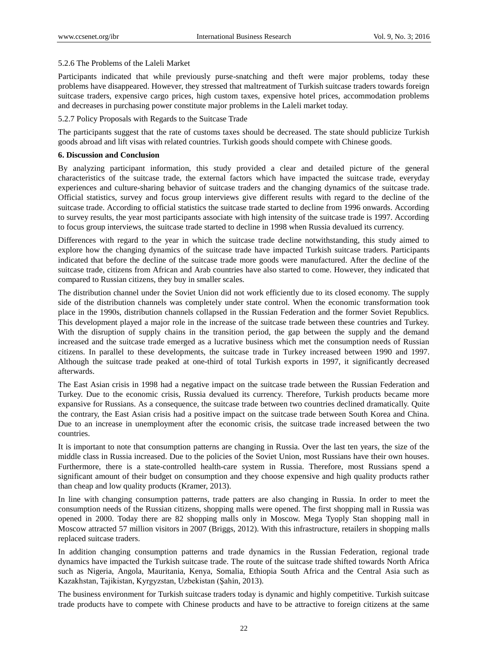## 5.2.6 The Problems of the Laleli Market

Participants indicated that while previously purse-snatching and theft were major problems, today these problems have disappeared. However, they stressed that maltreatment of Turkish suitcase traders towards foreign suitcase traders, expensive cargo prices, high custom taxes, expensive hotel prices, accommodation problems and decreases in purchasing power constitute major problems in the Laleli market today.

5.2.7 Policy Proposals with Regards to the Suitcase Trade

The participants suggest that the rate of customs taxes should be decreased. The state should publicize Turkish goods abroad and lift visas with related countries. Turkish goods should compete with Chinese goods.

## **6. Discussion and Conclusion**

By analyzing participant information, this study provided a clear and detailed picture of the general characteristics of the suitcase trade, the external factors which have impacted the suitcase trade, everyday experiences and culture-sharing behavior of suitcase traders and the changing dynamics of the suitcase trade. Official statistics, survey and focus group interviews give different results with regard to the decline of the suitcase trade. According to official statistics the suitcase trade started to decline from 1996 onwards. According to survey results, the year most participants associate with high intensity of the suitcase trade is 1997. According to focus group interviews, the suitcase trade started to decline in 1998 when Russia devalued its currency.

Differences with regard to the year in which the suitcase trade decline notwithstanding, this study aimed to explore how the changing dynamics of the suitcase trade have impacted Turkish suitcase traders. Participants indicated that before the decline of the suitcase trade more goods were manufactured. After the decline of the suitcase trade, citizens from African and Arab countries have also started to come. However, they indicated that compared to Russian citizens, they buy in smaller scales.

The distribution channel under the Soviet Union did not work efficiently due to its closed economy. The supply side of the distribution channels was completely under state control. When the economic transformation took place in the 1990s, distribution channels collapsed in the Russian Federation and the former Soviet Republics. This development played a major role in the increase of the suitcase trade between these countries and Turkey. With the disruption of supply chains in the transition period, the gap between the supply and the demand increased and the suitcase trade emerged as a lucrative business which met the consumption needs of Russian citizens. In parallel to these developments, the suitcase trade in Turkey increased between 1990 and 1997. Although the suitcase trade peaked at one-third of total Turkish exports in 1997, it significantly decreased afterwards.

The East Asian crisis in 1998 had a negative impact on the suitcase trade between the Russian Federation and Turkey. Due to the economic crisis, Russia devalued its currency. Therefore, Turkish products became more expansive for Russians. As a consequence, the suitcase trade between two countries declined dramatically. Quite the contrary, the East Asian crisis had a positive impact on the suitcase trade between South Korea and China. Due to an increase in unemployment after the economic crisis, the suitcase trade increased between the two countries.

It is important to note that consumption patterns are changing in Russia. Over the last ten years, the size of the middle class in Russia increased. Due to the policies of the Soviet Union, most Russians have their own houses. Furthermore, there is a state-controlled health-care system in Russia. Therefore, most Russians spend a significant amount of their budget on consumption and they choose expensive and high quality products rather than cheap and low quality products (Kramer, 2013).

In line with changing consumption patterns, trade patters are also changing in Russia. In order to meet the consumption needs of the Russian citizens, shopping malls were opened. The first shopping mall in Russia was opened in 2000. Today there are 82 shopping malls only in Moscow. Mega Tyoply Stan shopping mall in Moscow attracted 57 million visitors in 2007 (Briggs, 2012). With this infrastructure, retailers in shopping malls replaced suitcase traders.

In addition changing consumption patterns and trade dynamics in the Russian Federation, regional trade dynamics have impacted the Turkish suitcase trade. The route of the suitcase trade shifted towards North Africa such as Nigeria, Angola, Mauritania, Kenya, Somalia, Ethiopia South Africa and the Central Asia such as Kazakhstan, Tajikistan, Kyrgyzstan, Uzbekistan (Şahin, 2013).

The business environment for Turkish suitcase traders today is dynamic and highly competitive. Turkish suitcase trade products have to compete with Chinese products and have to be attractive to foreign citizens at the same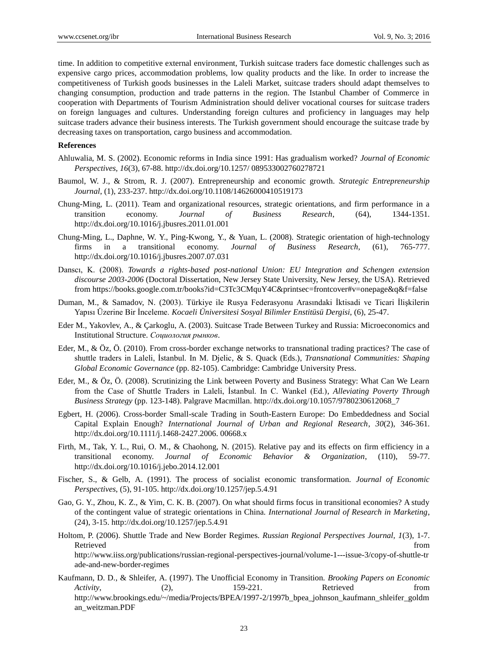time. In addition to competitive external environment, Turkish suitcase traders face domestic challenges such as expensive cargo prices, accommodation problems, low quality products and the like. In order to increase the competitiveness of Turkish goods businesses in the Laleli Market, suitcase traders should adapt themselves to changing consumption, production and trade patterns in the region. The Istanbul Chamber of Commerce in cooperation with Departments of Tourism Administration should deliver vocational courses for suitcase traders on foreign languages and cultures. Understanding foreign cultures and proficiency in languages may help suitcase traders advance their business interests. The Turkish government should encourage the suitcase trade by decreasing taxes on transportation, cargo business and accommodation.

#### **References**

- Ahluwalia, M. S. (2002). Economic reforms in India since 1991: Has gradualism worked? *Journal of Economic Perspectives, 16*(3), 67-88. http://dx.doi.org/10.1257/ 089533002760278721
- Baumol, W. J., & Strom, R. J. (2007). Entrepreneurship and economic growth. *Strategic Entrepreneurship Journal*, (1), 233-237. http://dx.doi.org/10.1108/14626000410519173
- Chung-Ming, L. (2011). Team and organizational resources, strategic orientations, and firm performance in a transition economy. *Journal of Business Research*, (64), 1344-1351. http://dx.doi.org/10.1016/j.jbusres.2011.01.001
- Chung-Ming, L., Daphne, W. Y., Ping-Kwong, Y., & Yuan, L. (2008). Strategic orientation of high-technology firms in a transitional economy. *Journal of Business Research*, (61), 765-777. http://dx.doi.org/10.1016/j.jbusres.2007.07.031
- Danscı, K. (2008). *Towards a rights-based post-national Union: EU Integration and Schengen extension discourse 2003-2006* (Doctoral Dissertation, New Jersey State University, New Jersey, the USA). Retrieved from https://books.google.com.tr/books?id=C3Tc3CMquY4C&printsec=frontcover#v=onepage&q&f=false
- Duman, M., & Samadov, N. (2003). Türkiye ile Rusya Federasyonu Arasındaki İktisadi ve Ticari İlişkilerin Yapısı Üzerine Bir İnceleme. *Kocaeli Ü niversitesi Sosyal Bilimler Enstitüsü Dergisi*, (6), 25-47.
- Eder M., Yakovlev, A., & Ç arkoglu, A. (2003). Suitcase Trade Between Turkey and Russia: Microeconomics and Institutional Structure. *Социология рынков*.
- Eder, M., & Ö z, Ö . (2010). From cross-border exchange networks to transnational trading practices? The case of shuttle traders in Laleli, İstanbul. In M. Djelic, & S. Quack (Eds.), *Transnational Communities: Shaping Global Economic Governance* (pp. 82-105). Cambridge: Cambridge University Press.
- Eder, M., & Ö z, Ö . (2008). Scrutinizing the Link between Poverty and Business Strategy: What Can We Learn from the Case of Shuttle Traders in Laleli, İstanbul. In C. Wankel (Ed.), *Alleviating Poverty Through Business Strategy* (pp. 123-148). Palgrave Macmillan. http://dx.doi.org/10.1057/9780230612068\_7
- Egbert, H. (2006). Cross-border Small-scale Trading in South-Eastern Europe: Do Embeddedness and Social Capital Explain Enough? *International Journal of Urban and Regional Research*, *30*(2), 346-361. http://dx.doi.org/10.1111/j.1468-2427.2006. 00668.x
- Firth, M., Tak, Y. L., Rui, O. M., & Chaohong, N. (2015). Relative pay and its effects on firm efficiency in a transitional economy. *Journal of Economic Behavior & Organization*, (110), 59-77. http://dx.doi.org/10.1016/j.jebo.2014.12.001
- Fischer, S., & Gelb, A. (1991). The process of socialist economic transformation. *Journal of Economic Perspectives*, (5), 91-105. http://dx.doi.org/10.1257/jep.5.4.91
- Gao, G. Y., Zhou, K. Z., & Yim, C. K. B. (2007). On what should firms focus in transitional economies? A study of the contingent value of strategic orientations in China. *International Journal of Research in Marketing*, (24), 3-15. http://dx.doi.org/10.1257/jep.5.4.91
- Holtom, P. (2006). Shuttle Trade and New Border Regimes. *Russian Regional Perspectives Journal, 1*(3), 1-7. Retrieved that the contract of the contract of the contract of the contract of the contract of the contract of the contract of the contract of the contract of the contract of the contract of the contract of the contract of http://www.iiss.org/publications/russian-regional-perspectives-journal/volume-1---issue-3/copy-of-shuttle-tr ade-and-new-border-regimes
- Kaufmann, D. D., & Shleifer, A. (1997). The Unofficial Economy in Transition. *Brooking Papers on Economic Activity*, (2), 159-221. Retrieved from http://www.brookings.edu/~/media/Projects/BPEA/1997-2/1997b\_bpea\_johnson\_kaufmann\_shleifer\_goldm an\_weitzman.PDF